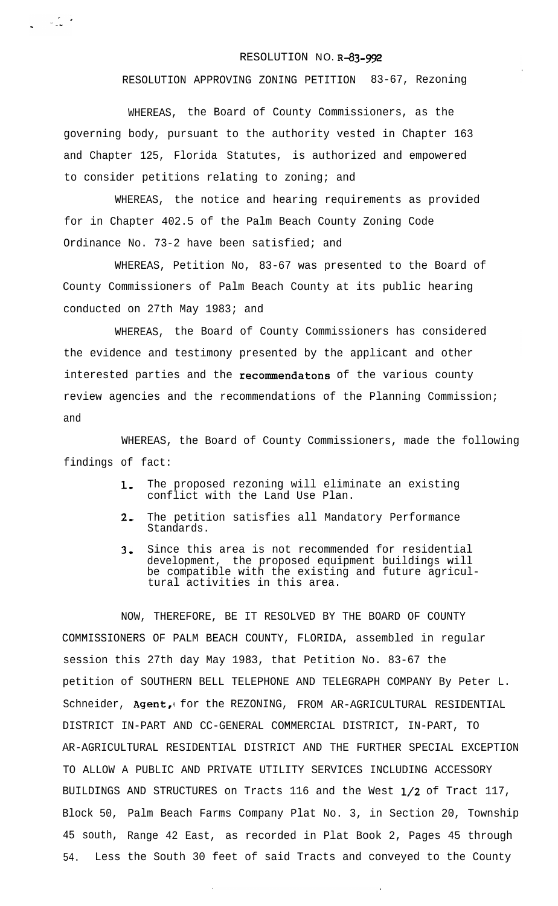## RESOLUTION NO. R-83-992

## RESOLUTION APPROVING ZONING PETITION 83-67, Rezoning

WHEREAS, the Board of County Commissioners, as the governing body, pursuant to the authority vested in Chapter 163 and Chapter 125, Florida Statutes, is authorized and empowered to consider petitions relating to zoning; and

WHEREAS, the notice and hearing requirements as provided for in Chapter 402.5 of the Palm Beach County Zoning Code Ordinance No. 73-2 have been satisfied; and

WHEREAS, Petition No, 83-67 was presented to the Board of County Commissioners of Palm Beach County at its public hearing conducted on 27th May 1983; and

WHEREAS, the Board of County Commissioners has considered the evidence and testimony presented by the applicant and other interested parties and the recommendatons of the various county review agencies and the recommendations of the Planning Commission; and

WHEREAS, the Board of County Commissioners, made the following findings of fact:

- 1. The proposed rezoning will eliminate an existing conflict with the Land Use Plan.
- 2, The petition satisfies all Mandatory Performance Standards.
- 3. Since this area is not recommended for residential development, the proposed equipment buildings will be compatible with the existing and future agricultural activities in this area.

NOW, THEREFORE, BE IT RESOLVED BY THE BOARD OF COUNTY COMMISSIONERS OF PALM BEACH COUNTY, FLORIDA, assembled in regular session this 27th day May 1983, that Petition No. 83-67 the petition of SOUTHERN BELL TELEPHONE AND TELEGRAPH COMPANY By Peter L. Schneider, Agent, for the REZONING, FROM AR-AGRICULTURAL RESIDENTIAL DISTRICT IN-PART AND CC-GENERAL COMMERCIAL DISTRICT, IN-PART, TO AR-AGRICULTURAL RESIDENTIAL DISTRICT AND THE FURTHER SPECIAL EXCEPTION TO ALLOW A PUBLIC AND PRIVATE UTILITY SERVICES INCLUDING ACCESSORY BUILDINGS AND STRUCTURES on Tracts 116 and the West l/2 of Tract 117, Block 50, Palm Beach Farms Company Plat No. 3, in Section 20, Township 45 south, Range 42 East, as recorded in Plat Book 2, Pages 45 through 54. Less the South 30 feet of said Tracts and conveyed to the County